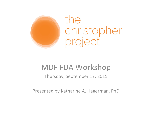

the christopher project

#### **MDF FDA Workshop**

Thursday, September 17, 2015

Presented by Katharine A. Hagerman, PhD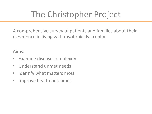### The Christopher Project

A comprehensive survey of patients and families about their experience in living with myotonic dystrophy.

Aims: 

- Examine disease complexity
- Understand unmet needs
- Identify what matters most
- Improve health outcomes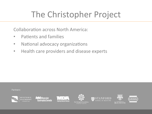### The Christopher Project

Collaboration across North America:

- Patients and families
- National advocacy organizations
- Health care providers and disease experts

Partners:



**EX** Muscular **Dystrophy Canada** 







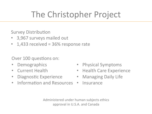### The Christopher Project

**Survey Distribution** 

- 3,967 surveys mailed out
- $1,433$  received =  $36\%$  response rate

Over 100 questions on:

- **Demographics**
- Current Health
- Diagnostic Experience
- Information and Resources Insurance
- **Physical Symptoms**
- Health Care Experience
- Managing Daily Life
- 

Administered under human subjects ethics approval in U.S.A. and Canada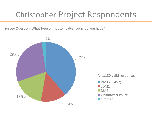#### Christopher Project Respondents

Survey Question: What type of myotonic dystrophy do you have?

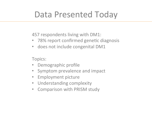#### Data Presented Today

457 respondents living with DM1:

- 78% report confirmed genetic diagnosis
- does not include congenital DM1

Topics: 

- Demographic profile
- Symptom prevalence and impact
- Employment picture
- Understanding complexity
- Comparison with PRISM study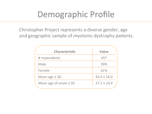#### Demographic Profile

Christopher Project represents a diverse gender, age and geographic sample of myotonic dystrophy patients.

| <b>Characteristic</b>      | <b>Value</b>    |
|----------------------------|-----------------|
| # respondents              | 457             |
| Male                       | 39%             |
| Female                     | 61%             |
| Mean age $\pm$ SD          | $45.0 \pm 16.0$ |
| Mean age of onset $\pm$ SD | $27.2 \pm 14.9$ |
|                            |                 |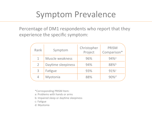#### Symptom Prevalence

Percentage of DM1 respondents who report that they experience the specific symptom:

| Rank           | Symptom            | Christopher<br>Project | <b>PRISM</b><br>Comparison* |
|----------------|--------------------|------------------------|-----------------------------|
| 1              | Muscle weakness    | 96%                    | $94%$ <sup>a</sup>          |
| $\overline{2}$ | Daytime sleepiness | 94%                    | 88%b                        |
| 3              | Fatigue            | 93%                    | 91%c                        |
| $\overline{4}$ | Myotonia           | 88%                    | $90\%$ <sup>d</sup>         |

\*Corresponding PRISM Item: 

a: Problems with hands or arms

b: Impaired sleep or daytime sleepiness

c: Fatigue

d: Myotonia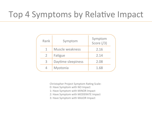#### Top 4 Symptoms by Relative Impact

| Rank           | Symptom            | Symptom<br>Score $( / 3)$ |  |
|----------------|--------------------|---------------------------|--|
|                | Muscle weakness    | 2.16                      |  |
| $\overline{2}$ | Fatigue            | 2.14                      |  |
| $\overline{3}$ | Daytime sleepiness | 2.08                      |  |
|                | Myotonia           | 1.68                      |  |

Christopher Project Symptom Rating Scale:

- 0: Have Symptom with NO Impact
- 1: Have Symptom with MINOR Impact
- 2: Have Symptom with MODERATE Impact
- 3: Have Symptom with MAJOR Impact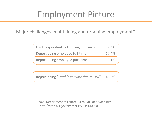#### Employment Picture

Major challenges in obtaining and retaining employment\*

| DM1 respondents 21 through 65 years | $n = 390$ |
|-------------------------------------|-----------|
| Report being employed full-time     | 17.4%     |
| Report being employed part-time     | 13.1%     |

Report being "Unable to work due to DM" 46.2%

\*U.S. Department of Labor; Bureau of Labor Statistics http://data.bls.gov/timeseries/LNS14000000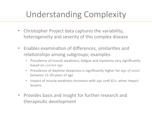# Understanding Complexity

- Christopher Project data captures the variability, heterogeneity and severity of this complex disease
- Enables examination of differences, similarities and relationships among subgroups; examples:
	- Prevalence of muscle weakness, fatigue and myotonia vary significantly based on *current age*
	- Prevalence of daytime sleepiness is significantly higher for *age of onset* between 21-30 years of age
	- Impact of muscle weakness increases with *age* until 61+, when impact lessens
- Provides basis and insight for further research and therapeutic development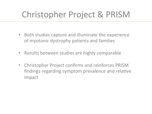# Christopher Project & PRISM

- Both studies capture and illuminate the experience of myotonic dystrophy patients and families
- Results between studies are highly comparable
- Christopher Project confirms and reinforces PRISM findings regarding symptom prevalence and relative impact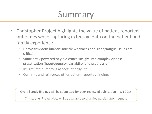#### Summary

- Christopher Project highlights the value of patient reported outcomes while capturing extensive data on the patient and family experience
	- Heavy symptom burden: muscle weakness and sleep/fatigue issues are critical
	- Sufficiently powered to yield critical insight into complex disease presentation (heterogeneity, variability and progression)
	- Insight into numerous aspects of daily life
	- Confirms and reinforces other patient-reported findings

Overall study findings will be submitted for peer-reviewed publication in Q4 2015

Christopher Project data will be available to qualified parties upon request